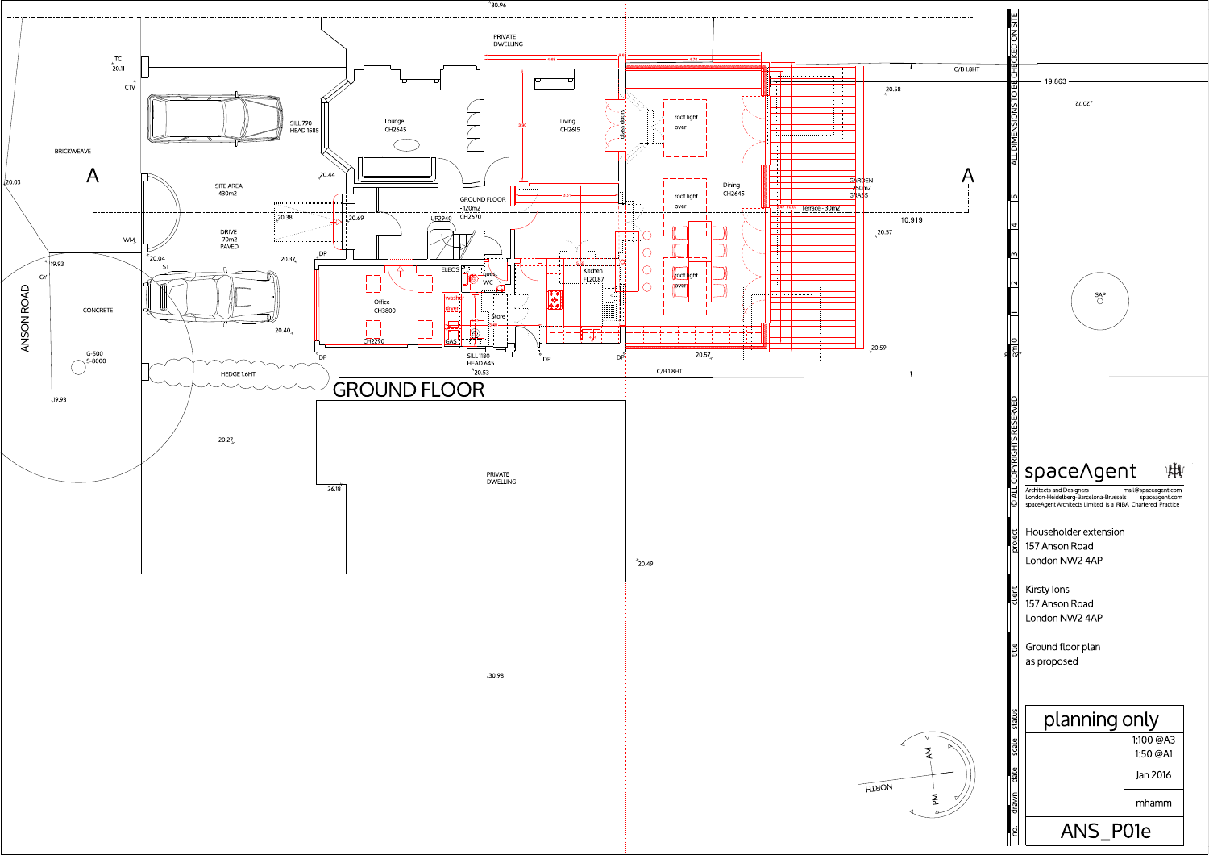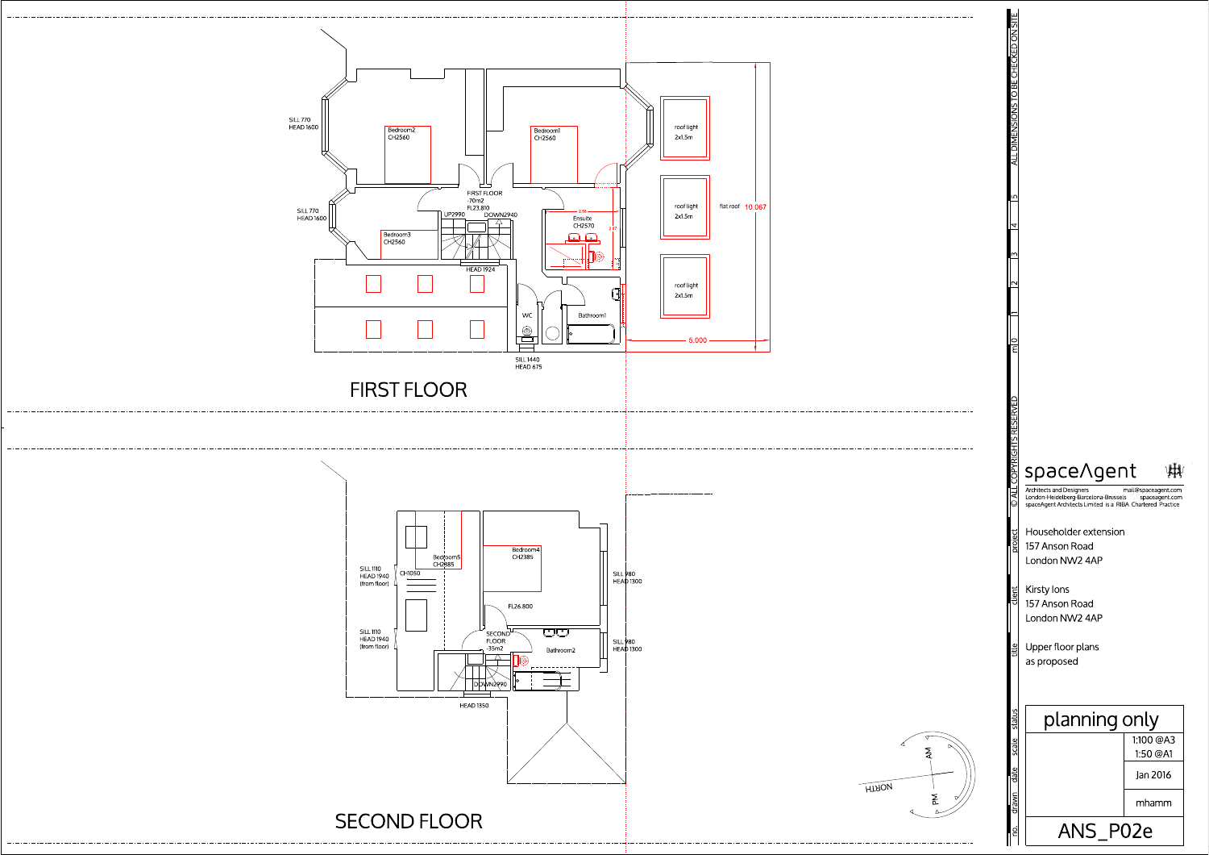

------

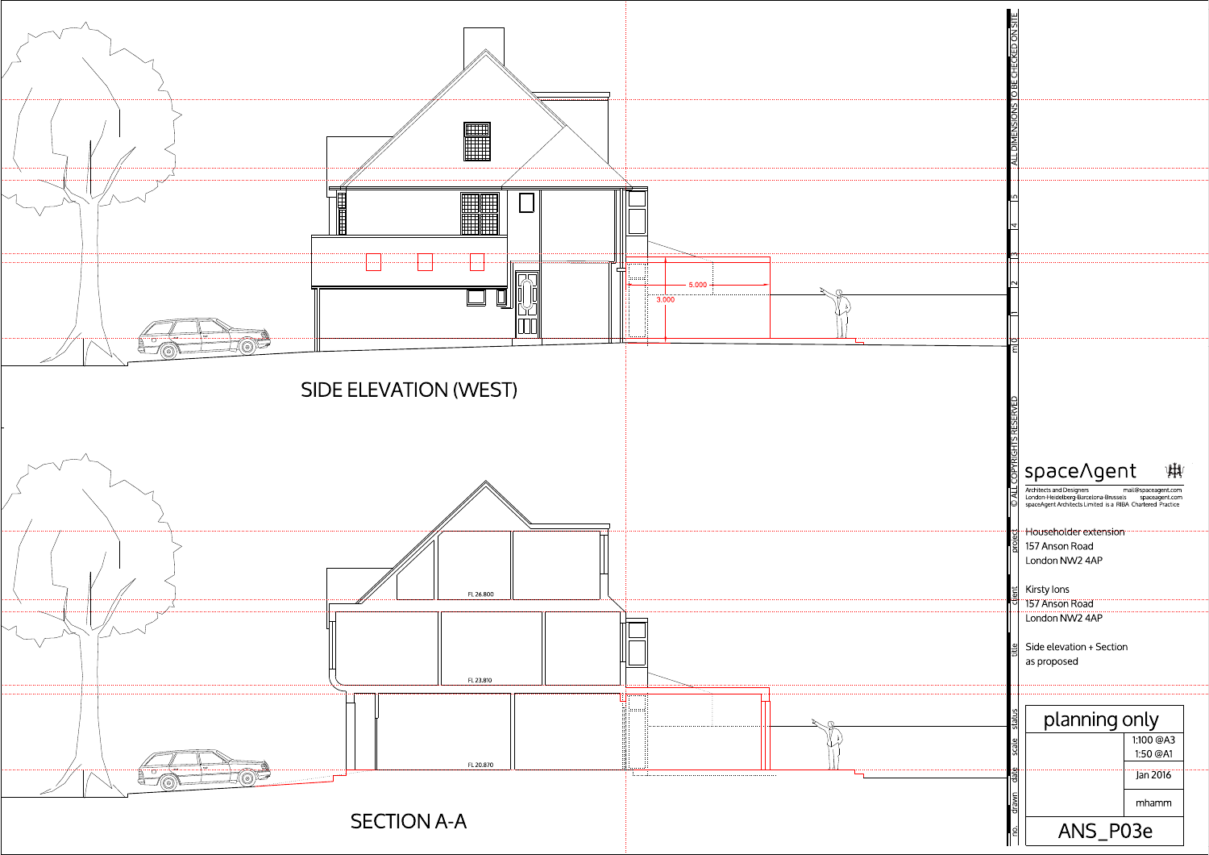![](_page_2_Figure_0.jpeg)

![](_page_2_Figure_2.jpeg)